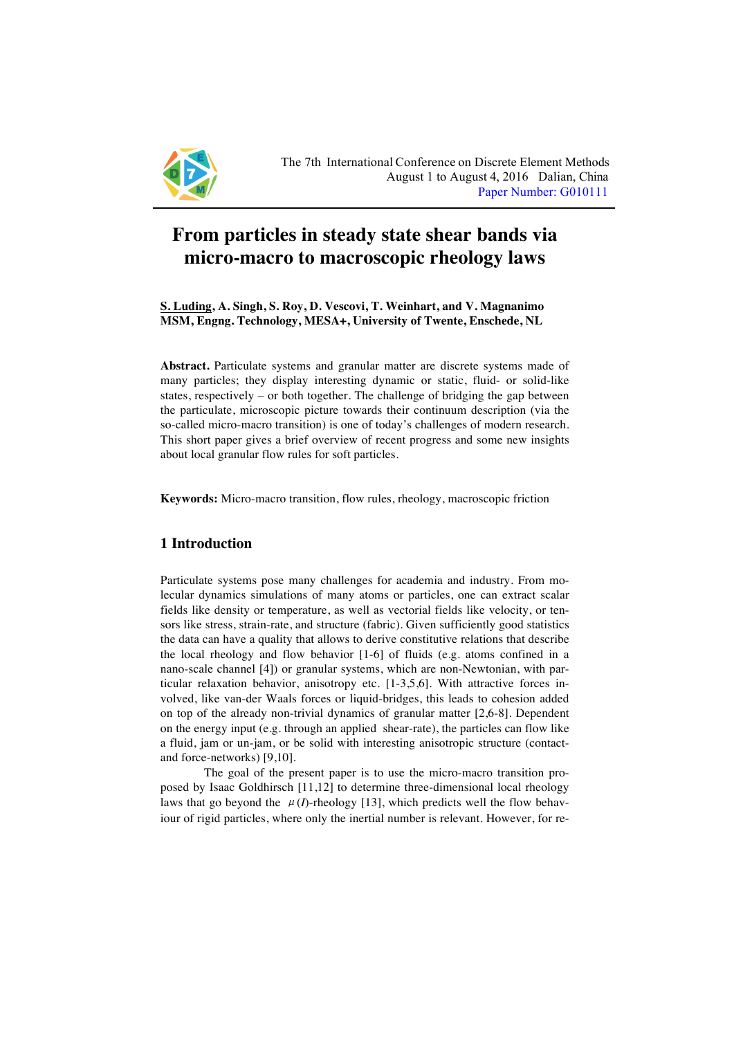

# **From particles in steady state shear bands via micro-macro to macroscopic rheology laws**

**S. Luding, A. Singh, S. Roy, D. Vescovi, T. Weinhart, and V. Magnanimo MSM, Engng. Technology, MESA+, University of Twente, Enschede, NL**

**Abstract.** Particulate systems and granular matter are discrete systems made of many particles; they display interesting dynamic or static, fluid- or solid-like states, respectively – or both together. The challenge of bridging the gap between the particulate, microscopic picture towards their continuum description (via the so-called micro-macro transition) is one of today's challenges of modern research. This short paper gives a brief overview of recent progress and some new insights about local granular flow rules for soft particles.

**Keywords:** Micro-macro transition, flow rules, rheology, macroscopic friction

## **1 Introduction**

Particulate systems pose many challenges for academia and industry. From molecular dynamics simulations of many atoms or particles, one can extract scalar fields like density or temperature, as well as vectorial fields like velocity, or tensors like stress, strain-rate, and structure (fabric). Given sufficiently good statistics the data can have a quality that allows to derive constitutive relations that describe the local rheology and flow behavior [1-6] of fluids (e.g. atoms confined in a nano-scale channel [4]) or granular systems, which are non-Newtonian, with particular relaxation behavior, anisotropy etc. [1-3,5,6]. With attractive forces involved, like van-der Waals forces or liquid-bridges, this leads to cohesion added on top of the already non-trivial dynamics of granular matter [2,6-8]. Dependent on the energy input (e.g. through an applied shear-rate), the particles can flow like a fluid, jam or un-jam, or be solid with interesting anisotropic structure (contactand force-networks) [9,10].

The goal of the present paper is to use the micro-macro transition proposed by Isaac Goldhirsch [11,12] to determine three-dimensional local rheology laws that go beyond the  $\mu(I)$ -rheology [13], which predicts well the flow behaviour of rigid particles, where only the inertial number is relevant. However, for re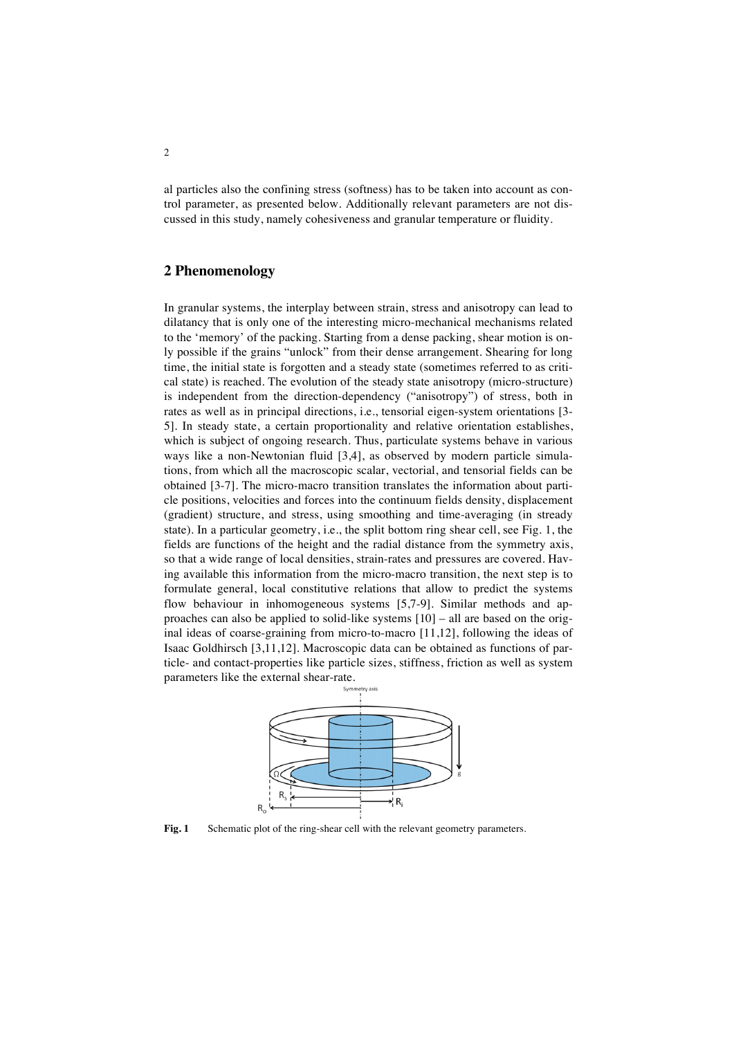al particles also the confining stress (softness) has to be taken into account as control parameter, as presented below. Additionally relevant parameters are not discussed in this study, namely cohesiveness and granular temperature or fluidity.

#### **2 Phenomenology**

Isaac Goldhirsch  $\left[3,11,12\right]$ . Macroscopic data can be obtained as functions of par-In granular systems, the interplay between strain, stress and anisotropy can lead to dilatancy that is only one of the interesting micro-mechanical mechanisms related to the 'memory' of the packing. Starting from a dense packing, shear motion is only possible if the grains "unlock" from their dense arrangement. Shearing for long time, the initial state is forgotten and a steady state (sometimes referred to as critical state) is reached. The evolution of the steady state anisotropy (micro-structure) is independent from the direction-dependency ("anisotropy") of stress, both in rates as well as in principal directions, i.e., tensorial eigen-system orientations [3- 5]. In steady state, a certain proportionality and relative orientation establishes, which is subject of ongoing research. Thus, particulate systems behave in various ways like a non-Newtonian fluid [3,4], as observed by modern particle simulations, from which all the macroscopic scalar, vectorial, and tensorial fields can be obtained [3-7]. The micro-macro transition translates the information about particle positions, velocities and forces into the continuum fields density, displacement (gradient) structure, and stress, using smoothing and time-averaging (in stready state). In a particular geometry, i.e., the split bottom ring shear cell, see Fig. 1, the fields are functions of the height and the radial distance from the symmetry axis, so that a wide range of local densities, strain-rates and pressures are covered. Having available this information from the micro-macro transition, the next step is to formulate general, local constitutive relations that allow to predict the systems flow behaviour in inhomogeneous systems [5,7-9]. Similar methods and approaches can also be applied to solid-like systems [10] – all are based on the original ideas of coarse-graining from micro-to-macro [11,12], following the ideas of ticle- and contact-properties like particle sizes, stiffness, friction as well as system parameters like the external shear-rate.



Fig. 1 Schematic plot of the ring-shear cell with the relevant geometry parameters.

g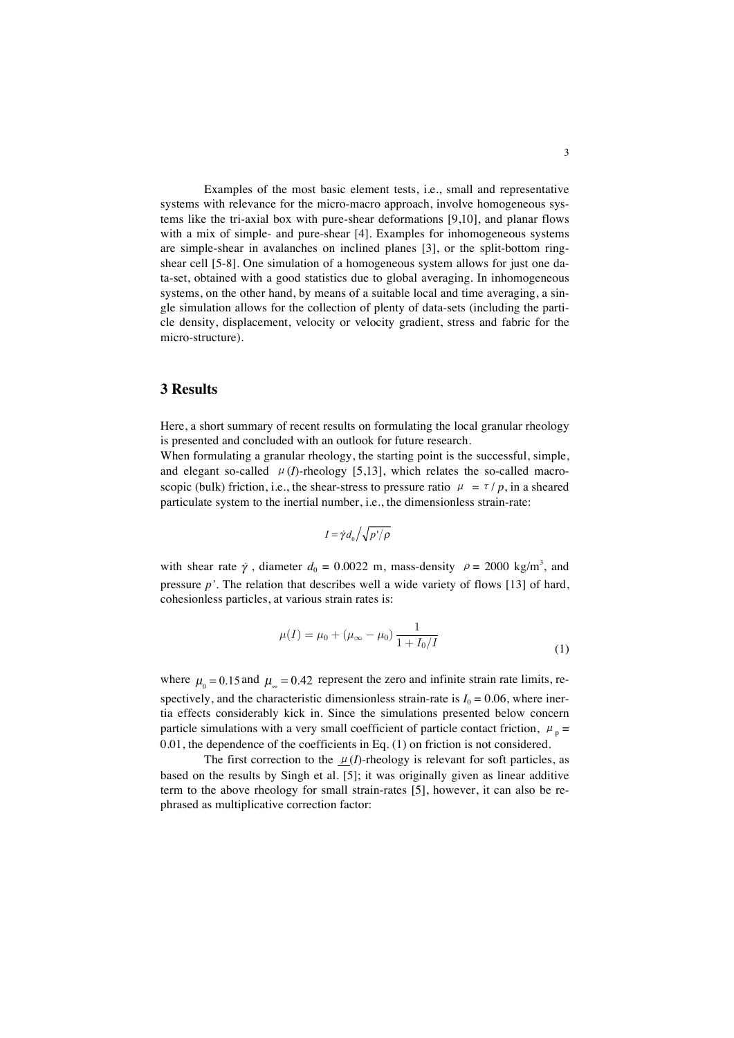Examples of the most basic element tests, i.e., small and representative systems with relevance for the micro-macro approach, involve homogeneous systems like the tri-axial box with pure-shear deformations [9,10], and planar flows with a mix of simple- and pure-shear [4]. Examples for inhomogeneous systems are simple-shear in avalanches on inclined planes [3], or the split-bottom ringshear cell [5-8]. One simulation of a homogeneous system allows for just one data-set, obtained with a good statistics due to global averaging. In inhomogeneous systems, on the other hand, by means of a suitable local and time averaging, a single simulation allows for the collection of plenty of data-sets (including the particle density, displacement, velocity or velocity gradient, stress and fabric for the micro-structure).

### **3 Results**

Here, a short summary of recent results on formulating the local granular rheology is presented and concluded with an outlook for future research.

When formulating a granular rheology, the starting point is the successful, simple, which formulating a granular filtcology, the starting point is the successful, simple,<br>and elegant so-called *μ*(*I*)-rheology [5,13], which relates the so-called macroscopic (bulk) friction, i.e., the shear-stress to pressure ratio  $\mu = \tau/p$ , in a sheared particulate system to the inertial number, i.e., the dimensionless strain-rate: and elegant so-called  $\mu$ <sub>(1)</sub>-incology [5,15], which relates the so-call

$$
I=\dot{\gamma}d_{\rm o}/\sqrt{p^{\,\prime}/\rho}
$$

with shear rate  $\dot{\gamma}$ , diameter  $d_0 = 0.0022$  m, mass-density  $\rho = 2000$  kg/m<sup>3</sup>, and pressure *p'*. The relation that describes well a wide variety of flows [13] of hard, cohesionless particles, at various strain rates is:

$$
\mu(I) = \mu_0 + (\mu_\infty - \mu_0) \frac{1}{1 + I_0/I}
$$
\n(1)

where  $\mu_0 = 0.15$  and  $\mu_\infty = 0.42$  represent the zero and infinite strain rate limits, respectively, and the characteristic dimensionless strain-rate is  $I_0 = 0.06$ , where inertia effects considerably kick in. Since the simulations presented below concern particle simulations with a very small coefficient of particle contact friction,  $\mu_p =$  $0.01$ , the dependence of the coefficients in Eq. (1) on friction is not considered. where  $\mu_0 = 0.15$  and  $\mu_\infty = 0.72$  represent the zero and infinite strain rate inities, i.e.

with a certain analytical relation, as given by  $($ 

The first correction to the  $\mu(I)$ -rheology is relevant for soft particles, as based on the results by Singh et al. [5]; it was originally given as linear additive term to the above rheology for small strain-rates [5], however, it can also be rephrased as multiplicative correction factor: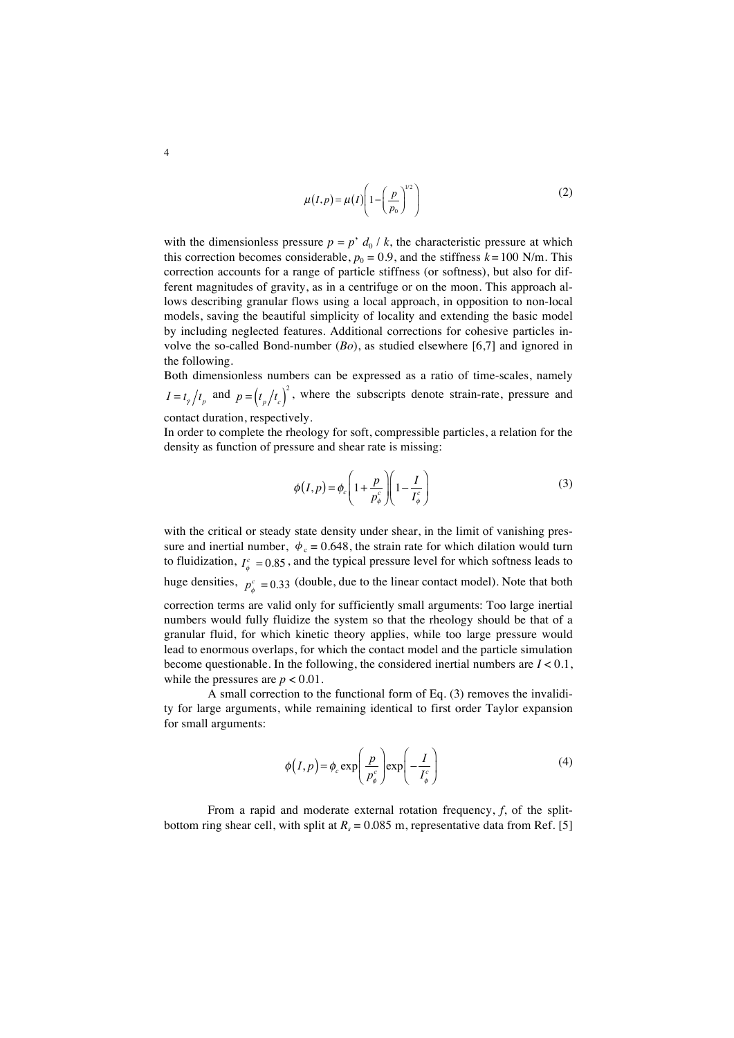$$
\mu(I, p) = \mu(I) \left( 1 - \left( \frac{p}{p_0} \right)^{1/2} \right) \tag{2}
$$

with the dimensionless pressure  $p = p' d_0 / k$ , the characteristic pressure at which this correction becomes considerable,  $p_0 = 0.9$ , and the stiffness  $k = 100$  N/m. This correction accounts for a range of particle stiffness (or softness), but also for different magnitudes of gravity, as in a centrifuge or on the moon. This approach allows describing granular flows using a local approach, in opposition to non-local models, saving the beautiful simplicity of locality and extending the basic model by including neglected features. Additional corrections for cohesive particles involve the so-called Bond-number (*Bo*), as studied elsewhere [6,7] and ignored in the following.

Both dimensionless numbers can be expressed as a ratio of time-scales, namely  $I = t_{\gamma}/t_{p}$  and  $p = (t_{p}/t_{c})^{2}$ , where the subscripts denote strain-rate, pressure and contact duration, respectively.

In order to complete the rheology for soft, compressible particles, a relation for the density as function of pressure and shear rate is missing:

$$
\phi(I, p) = \phi_c \left( 1 + \frac{p}{p_\phi^c} \right) \left( 1 - \frac{I}{I_\phi^c} \right) \tag{3}
$$

with the critical or steady state density under shear, in the limit of vanishing pressure and inertial number,  $\phi_c = 0.648$ , the strain rate for which dilation would turn to fluidization,  $I^c_{\phi} = 0.85$ , and the typical pressure level for which softness leads to huge densities,  $p_{\phi}^c = 0.33$  (double, due to the linear contact model). Note that both correction terms are valid only for sufficiently small arguments: Too large inertial numbers would fully fluidize the system so that the rheology should be that of a granular fluid, for which kinetic theory applies, while too large pressure would lead to enormous overlaps, for which the contact model and the particle simulation become questionable. In the following, the considered inertial numbers are *I* < 0.1, while the pressures are  $p < 0.01$ .

A small correction to the functional form of Eq. (3) removes the invalidity for large arguments, while remaining identical to first order Taylor expansion for small arguments:

$$
\phi(I, p) = \phi_c \exp\left(\frac{p}{p_{\phi}^c}\right) \exp\left(-\frac{I}{I_{\phi}^c}\right) \tag{4}
$$

From a rapid and moderate external rotation frequency, *f*, of the splitbottom ring shear cell, with split at  $R_s = 0.085$  m, representative data from Ref. [5]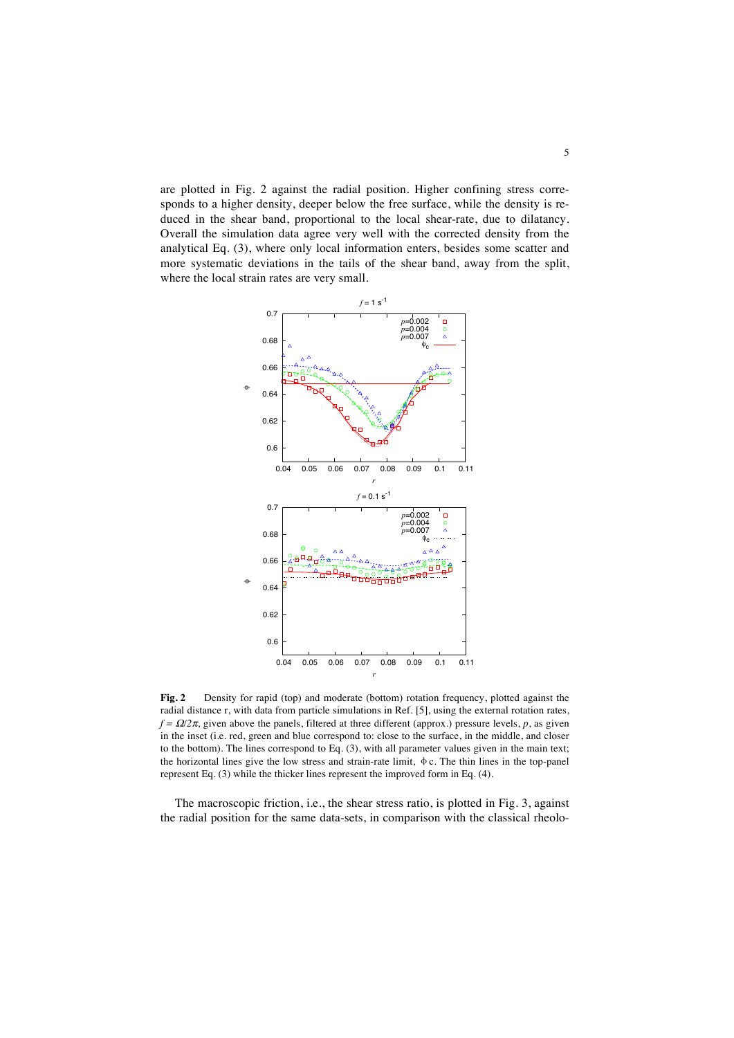are plotted in Fig. 2 against the radial position. Higher confining stress corresponds to a higher density, deeper below the free surface, while the density is reduced in the shear band, proportional to the local shear-rate, due to dilatancy. Overall the simulation data agree very well with the corrected density from the analytical Eq. (3), where only local information enters, besides some scatter and more systematic deviations in the tails of the shear band, away from the split, where the local strain rates are very small.



**Fig. 2** Density for rapid (top) and moderate (bottom) rotation frequency, plotted against the radial distance r, with data from particle simulations in Ref. [5], using the external rotation rates,  $f = \Omega/2\pi$ , given above the panels, filtered at three different (approx.) pressure levels, *p*, as given in the inset (i.e. red, green and blue correspond to: close to the surface, in the middle, and closer to the bottom). The lines correspond to Eq. (3), with all parameter values given in the main text; the horizontal lines give the low stress and strain-rate limit, φc. The thin lines in the top-panel represent Eq. (3) while the thicker lines represent the improved form in Eq. (4).

The macroscopic friction, i.e., the shear stress ratio, is plotted in Fig. 3, against the radial position for the same data-sets, in comparison with the classical rheolo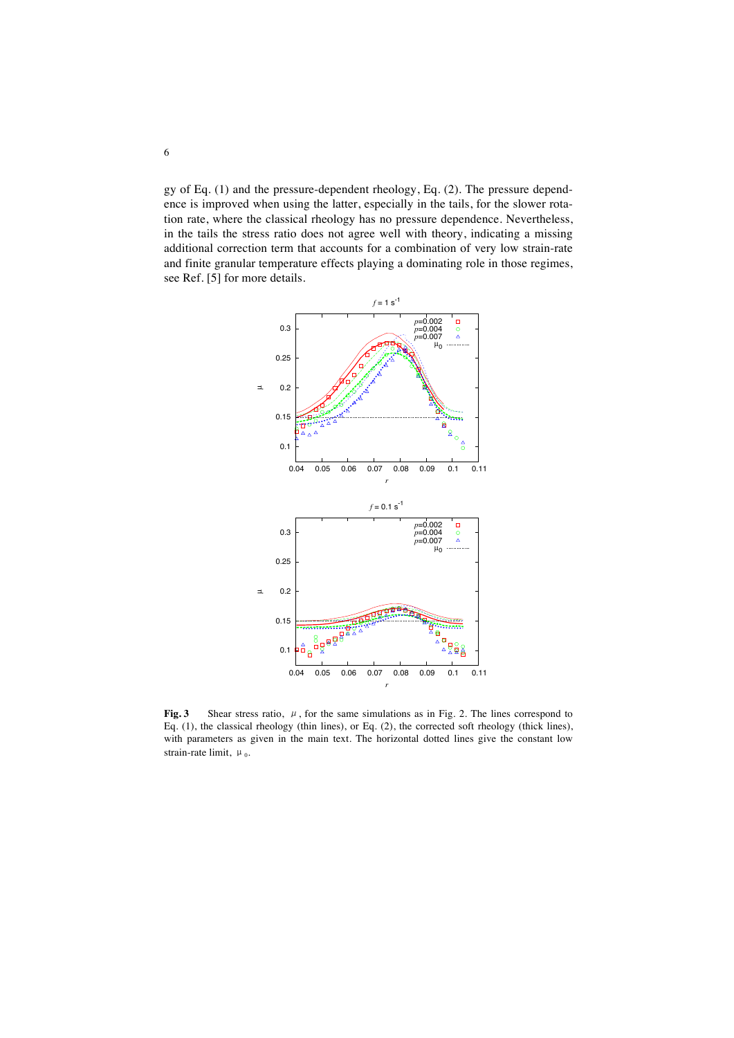gy of Eq. (1) and the pressure-dependent rheology, Eq. (2). The pressure dependence is improved when using the latter, especially in the tails, for the slower rotation rate, where the classical rheology has no pressure dependence. Nevertheless, in the tails the stress ratio does not agree well with theory, indicating a missing additional correction term that accounts for a combination of very low strain-rate and finite granular temperature effects playing a dominating role in those regimes, see Ref. [5] for more details.



**Fig. 3** Shear stress ratio, μ, for the same simulations as in Fig. 2. The lines correspond to Eq. (1), the classical rheology (thin lines), or Eq. (2), the corrected soft rheology (thick lines), with parameters as given in the main text. The horizontal dotted lines give the constant low strain-rate limit,  $\mu_0$ .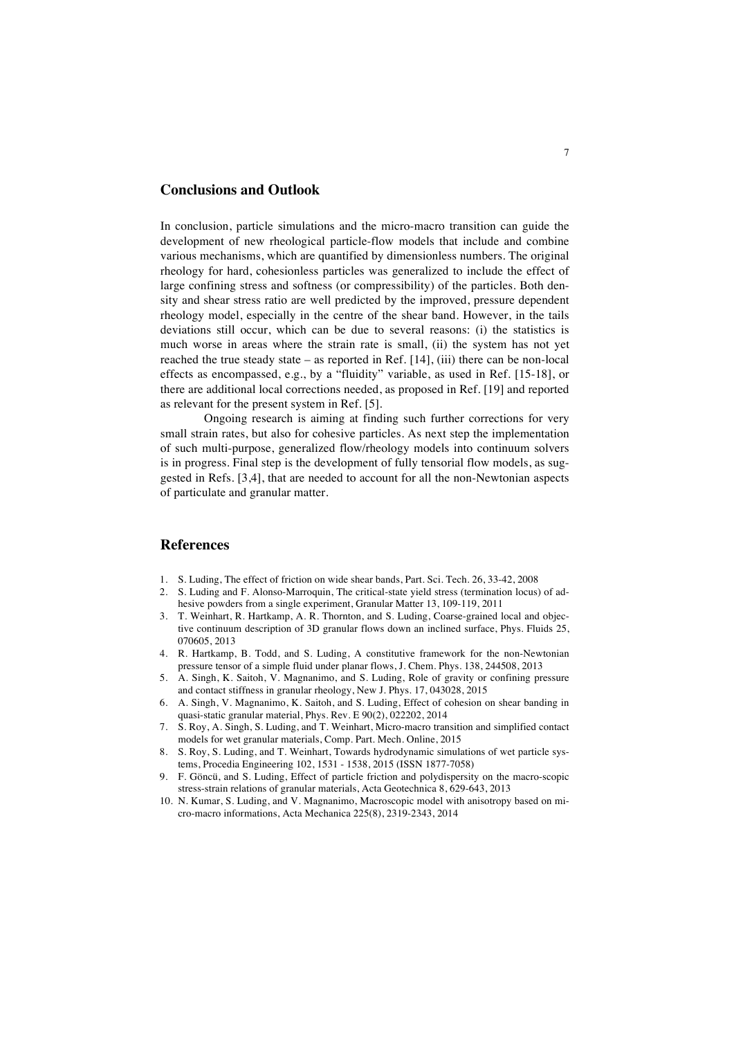#### **Conclusions and Outlook**

In conclusion, particle simulations and the micro-macro transition can guide the development of new rheological particle-flow models that include and combine various mechanisms, which are quantified by dimensionless numbers. The original rheology for hard, cohesionless particles was generalized to include the effect of large confining stress and softness (or compressibility) of the particles. Both density and shear stress ratio are well predicted by the improved, pressure dependent rheology model, especially in the centre of the shear band. However, in the tails deviations still occur, which can be due to several reasons: (i) the statistics is much worse in areas where the strain rate is small, (ii) the system has not yet reached the true steady state – as reported in Ref. [14], (iii) there can be non-local effects as encompassed, e.g., by a "fluidity" variable, as used in Ref. [15-18], or there are additional local corrections needed, as proposed in Ref. [19] and reported as relevant for the present system in Ref. [5].

Ongoing research is aiming at finding such further corrections for very small strain rates, but also for cohesive particles. As next step the implementation of such multi-purpose, generalized flow/rheology models into continuum solvers is in progress. Final step is the development of fully tensorial flow models, as suggested in Refs. [3,4], that are needed to account for all the non-Newtonian aspects of particulate and granular matter.

### **References**

- 1. S. Luding, The effect of friction on wide shear bands, Part. Sci. Tech. 26, 33-42, 2008
- 2. S. Luding and F. Alonso-Marroquin, The critical-state yield stress (termination locus) of adhesive powders from a single experiment, Granular Matter 13, 109-119, 2011
- 3. T. Weinhart, R. Hartkamp, A. R. Thornton, and S. Luding, Coarse-grained local and objective continuum description of 3D granular flows down an inclined surface, Phys. Fluids 25, 070605, 2013
- 4. R. Hartkamp, B. Todd, and S. Luding, A constitutive framework for the non-Newtonian pressure tensor of a simple fluid under planar flows, J. Chem. Phys. 138, 244508, 2013
- 5. A. Singh, K. Saitoh, V. Magnanimo, and S. Luding, Role of gravity or confining pressure and contact stiffness in granular rheology, New J. Phys. 17, 043028, 2015
- 6. A. Singh, V. Magnanimo, K. Saitoh, and S. Luding, Effect of cohesion on shear banding in quasi-static granular material, Phys. Rev. E 90(2), 022202, 2014
- 7. S. Roy, A. Singh, S. Luding, and T. Weinhart, Micro-macro transition and simplified contact models for wet granular materials, Comp. Part. Mech. Online, 2015
- 8. S. Roy, S. Luding, and T. Weinhart, Towards hydrodynamic simulations of wet particle systems, Procedia Engineering 102, 1531 - 1538, 2015 (ISSN 1877-7058)
- 9. F. Göncü, and S. Luding, Effect of particle friction and polydispersity on the macro-scopic stress-strain relations of granular materials, Acta Geotechnica 8, 629-643, 2013
- 10. N. Kumar, S. Luding, and V. Magnanimo, Macroscopic model with anisotropy based on micro-macro informations, Acta Mechanica 225(8), 2319-2343, 2014